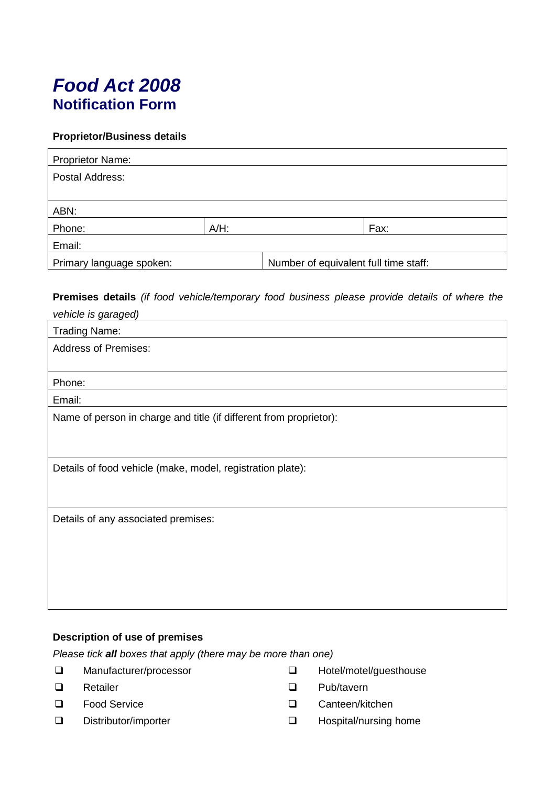# *Food Act 2008* **Notification Form**

## **Proprietor/Business details**

| <b>Proprietor Name:</b>  |         |                                       |      |
|--------------------------|---------|---------------------------------------|------|
| Postal Address:          |         |                                       |      |
|                          |         |                                       |      |
| ABN:                     |         |                                       |      |
| Phone:                   | $A/H$ : |                                       | Fax: |
| Email:                   |         |                                       |      |
| Primary language spoken: |         | Number of equivalent full time staff: |      |

**Premises details** *(if food vehicle/temporary food business please provide details of where the* 

| vehicle is garaged)                                                |
|--------------------------------------------------------------------|
| <b>Trading Name:</b>                                               |
| <b>Address of Premises:</b>                                        |
|                                                                    |
| Phone:                                                             |
| Email:                                                             |
| Name of person in charge and title (if different from proprietor): |
|                                                                    |
|                                                                    |
| Details of food vehicle (make, model, registration plate):         |
|                                                                    |
|                                                                    |
| Details of any associated premises:                                |
|                                                                    |
|                                                                    |
|                                                                    |
|                                                                    |
|                                                                    |

## **Description of use of premises**

*Please tick all boxes that apply (there may be more than one)*

- □ Manufacturer/processor
- $\Box$  Retailer  $\Box$
- $\Box$  Food Service  $\Box$
- □ Distributor/importer and Distributor/importer
- □ Hotel/motel/guesthouse
- Pub/tavern
- Canteen/kitchen
- Hospital/nursing home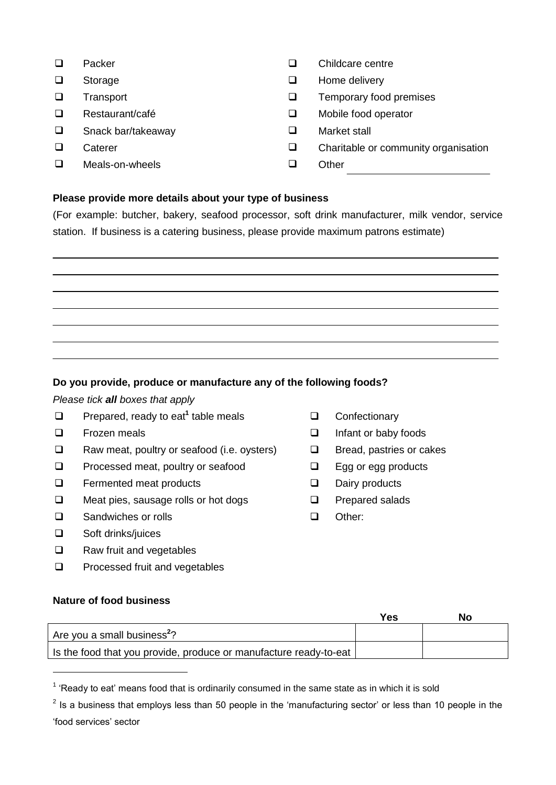- □ Packer
- $\square$  Storage  $\square$
- $\square$  Transport  $\square$
- Restaurant/café
- □ Snack bar/takeaway 
Market stall
- **Caterer**
- Meals-on-wheels Other
- □ Childcare centre
- Home delivery
- Temporary food premises
- □ Restaurant/café <br>□ Mobile food operator
	-
- $\Box$  Caterer  $\Box$  Charitable or community organisation
	-

## **Please provide more details about your type of business**

(For example: butcher, bakery, seafood processor, soft drink manufacturer, milk vendor, service station. If business is a catering business, please provide maximum patrons estimate)

## **Do you provide, produce or manufacture any of the following foods?**

*Please tick all boxes that apply*

- □ Prepared, ready to eat<sup>1</sup> table meals
- $\Box$  Frozen meals  $\Box$
- $\Box$  Raw meat, poultry or seafood (i.e. oysters)  $\Box$
- $\Box$  Processed meat, poultry or seafood  $\Box$
- $\Box$  Fermented meat products  $\Box$
- $\square$  Meat pies, sausage rolls or hot dogs  $\square$
- □ Sandwiches or rolls □ □ □ □
- Soft drinks/juices  $\Box$
- Raw fruit and vegetables  $\Box$
- Processed fruit and vegetables  $\Box$

### **Nature of food business**

-

- **Q** Confectionary
- Infant or baby foods
- Bread, pastries or cakes
- Egg or egg products
- Dairy products
- Prepared salads
- Other:

|                                                                   | Yes | No |
|-------------------------------------------------------------------|-----|----|
| Are you a small business <sup>2</sup> ?                           |     |    |
| Is the food that you provide, produce or manufacture ready-to-eat |     |    |

 $1$  'Ready to eat' means food that is ordinarily consumed in the same state as in which it is sold

 $2$  Is a business that employs less than 50 people in the 'manufacturing sector' or less than 10 people in the 'food services' sector